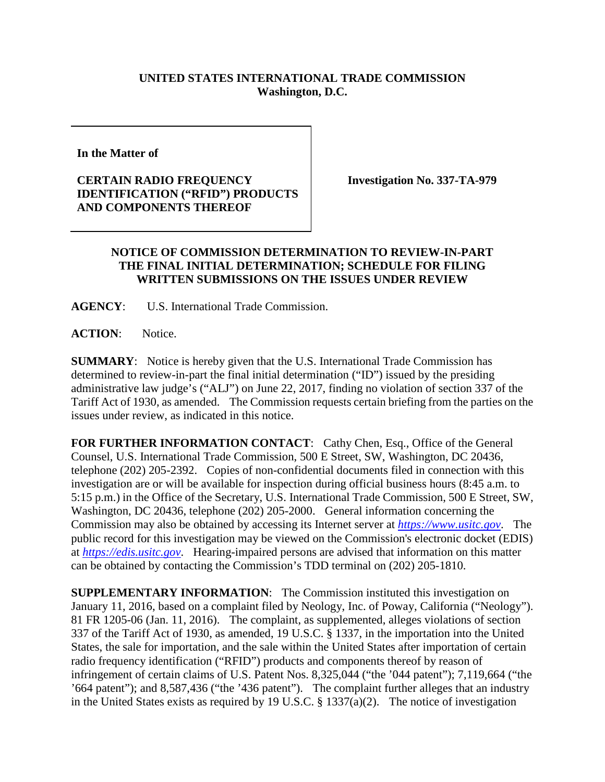## **UNITED STATES INTERNATIONAL TRADE COMMISSION Washington, D.C.**

**In the Matter of** 

## **CERTAIN RADIO FREQUENCY IDENTIFICATION ("RFID") PRODUCTS AND COMPONENTS THEREOF**

**Investigation No. 337-TA-979**

## **NOTICE OF COMMISSION DETERMINATION TO REVIEW-IN-PART THE FINAL INITIAL DETERMINATION; SCHEDULE FOR FILING WRITTEN SUBMISSIONS ON THE ISSUES UNDER REVIEW**

**AGENCY**: U.S. International Trade Commission.

**ACTION**: Notice.

**SUMMARY**: Notice is hereby given that the U.S. International Trade Commission has determined to review-in-part the final initial determination ("ID") issued by the presiding administrative law judge's ("ALJ") on June 22, 2017, finding no violation of section 337 of the Tariff Act of 1930, as amended. The Commission requests certain briefing from the parties on the issues under review, as indicated in this notice.

FOR FURTHER INFORMATION CONTACT: Cathy Chen, Esq., Office of the General Counsel, U.S. International Trade Commission, 500 E Street, SW, Washington, DC 20436, telephone (202) 205-2392. Copies of non-confidential documents filed in connection with this investigation are or will be available for inspection during official business hours (8:45 a.m. to 5:15 p.m.) in the Office of the Secretary, U.S. International Trade Commission, 500 E Street, SW, Washington, DC 20436, telephone (202) 205-2000. General information concerning the Commission may also be obtained by accessing its Internet server at *[https://www.usitc.gov](https://www.usitc.gov/)*. The public record for this investigation may be viewed on the Commission's electronic docket (EDIS) at *[https://edis.usitc.gov](https://edis.usitc.gov/)*. Hearing-impaired persons are advised that information on this matter can be obtained by contacting the Commission's TDD terminal on (202) 205-1810.

**SUPPLEMENTARY INFORMATION:** The Commission instituted this investigation on January 11, 2016, based on a complaint filed by Neology, Inc. of Poway, California ("Neology"). 81 FR 1205-06 (Jan. 11, 2016). The complaint, as supplemented, alleges violations of section 337 of the Tariff Act of 1930, as amended, 19 U.S.C. § 1337, in the importation into the United States, the sale for importation, and the sale within the United States after importation of certain radio frequency identification ("RFID") products and components thereof by reason of infringement of certain claims of U.S. Patent Nos. 8,325,044 ("the '044 patent"); 7,119,664 ("the '664 patent"); and 8,587,436 ("the '436 patent"). The complaint further alleges that an industry in the United States exists as required by 19 U.S.C. § 1337(a)(2). The notice of investigation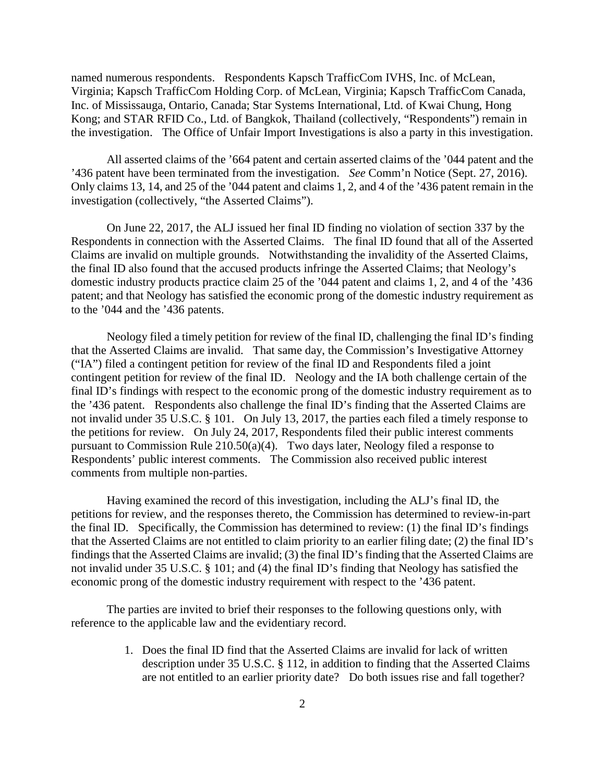named numerous respondents. Respondents Kapsch TrafficCom IVHS, Inc. of McLean, Virginia; Kapsch TrafficCom Holding Corp. of McLean, Virginia; Kapsch TrafficCom Canada, Inc. of Mississauga, Ontario, Canada; Star Systems International, Ltd. of Kwai Chung, Hong Kong; and STAR RFID Co., Ltd. of Bangkok, Thailand (collectively, "Respondents") remain in the investigation. The Office of Unfair Import Investigations is also a party in this investigation.

All asserted claims of the '664 patent and certain asserted claims of the '044 patent and the '436 patent have been terminated from the investigation. *See* Comm'n Notice (Sept. 27, 2016). Only claims 13, 14, and 25 of the '044 patent and claims 1, 2, and 4 of the '436 patent remain in the investigation (collectively, "the Asserted Claims").

On June 22, 2017, the ALJ issued her final ID finding no violation of section 337 by the Respondents in connection with the Asserted Claims. The final ID found that all of the Asserted Claims are invalid on multiple grounds. Notwithstanding the invalidity of the Asserted Claims, the final ID also found that the accused products infringe the Asserted Claims; that Neology's domestic industry products practice claim 25 of the '044 patent and claims 1, 2, and 4 of the '436 patent; and that Neology has satisfied the economic prong of the domestic industry requirement as to the '044 and the '436 patents.

Neology filed a timely petition for review of the final ID, challenging the final ID's finding that the Asserted Claims are invalid. That same day, the Commission's Investigative Attorney ("IA") filed a contingent petition for review of the final ID and Respondents filed a joint contingent petition for review of the final ID. Neology and the IA both challenge certain of the final ID's findings with respect to the economic prong of the domestic industry requirement as to the '436 patent. Respondents also challenge the final ID's finding that the Asserted Claims are not invalid under 35 U.S.C. § 101. On July 13, 2017, the parties each filed a timely response to the petitions for review. On July 24, 2017, Respondents filed their public interest comments pursuant to Commission Rule 210.50(a)(4). Two days later, Neology filed a response to Respondents' public interest comments. The Commission also received public interest comments from multiple non-parties.

Having examined the record of this investigation, including the ALJ's final ID, the petitions for review, and the responses thereto, the Commission has determined to review-in-part the final ID. Specifically, the Commission has determined to review: (1) the final ID's findings that the Asserted Claims are not entitled to claim priority to an earlier filing date; (2) the final ID's findings that the Asserted Claims are invalid; (3) the final ID's finding that the Asserted Claims are not invalid under 35 U.S.C. § 101; and (4) the final ID's finding that Neology has satisfied the economic prong of the domestic industry requirement with respect to the '436 patent.

The parties are invited to brief their responses to the following questions only, with reference to the applicable law and the evidentiary record.

> 1. Does the final ID find that the Asserted Claims are invalid for lack of written description under 35 U.S.C. § 112, in addition to finding that the Asserted Claims are not entitled to an earlier priority date? Do both issues rise and fall together?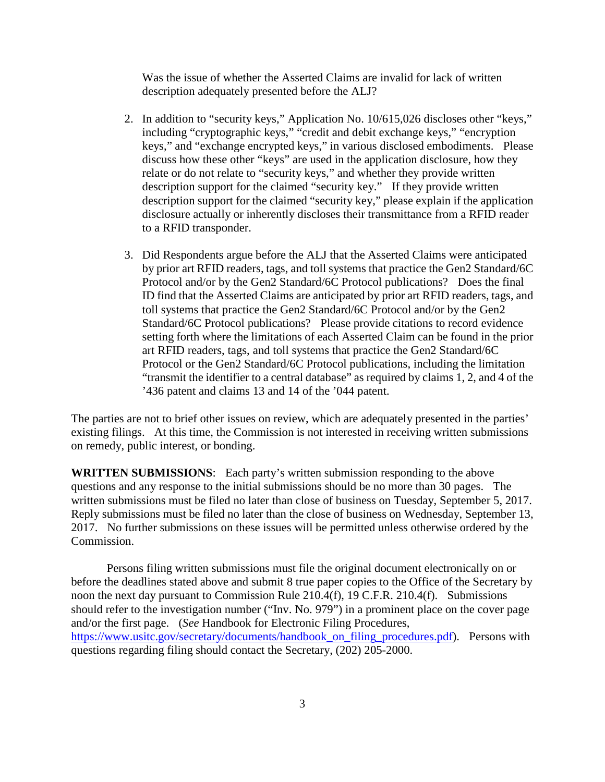Was the issue of whether the Asserted Claims are invalid for lack of written description adequately presented before the ALJ?

- 2. In addition to "security keys," Application No. 10/615,026 discloses other "keys," including "cryptographic keys," "credit and debit exchange keys," "encryption keys," and "exchange encrypted keys," in various disclosed embodiments. Please discuss how these other "keys" are used in the application disclosure, how they relate or do not relate to "security keys," and whether they provide written description support for the claimed "security key." If they provide written description support for the claimed "security key," please explain if the application disclosure actually or inherently discloses their transmittance from a RFID reader to a RFID transponder.
- 3. Did Respondents argue before the ALJ that the Asserted Claims were anticipated by prior art RFID readers, tags, and toll systems that practice the Gen2 Standard/6C Protocol and/or by the Gen2 Standard/6C Protocol publications? Does the final ID find that the Asserted Claims are anticipated by prior art RFID readers, tags, and toll systems that practice the Gen2 Standard/6C Protocol and/or by the Gen2 Standard/6C Protocol publications? Please provide citations to record evidence setting forth where the limitations of each Asserted Claim can be found in the prior art RFID readers, tags, and toll systems that practice the Gen2 Standard/6C Protocol or the Gen2 Standard/6C Protocol publications, including the limitation "transmit the identifier to a central database" as required by claims 1, 2, and 4 of the '436 patent and claims 13 and 14 of the '044 patent.

The parties are not to brief other issues on review, which are adequately presented in the parties' existing filings. At this time, the Commission is not interested in receiving written submissions on remedy, public interest, or bonding.

**WRITTEN SUBMISSIONS**: Each party's written submission responding to the above questions and any response to the initial submissions should be no more than 30 pages. The written submissions must be filed no later than close of business on Tuesday, September 5, 2017. Reply submissions must be filed no later than the close of business on Wednesday, September 13, 2017. No further submissions on these issues will be permitted unless otherwise ordered by the Commission.

Persons filing written submissions must file the original document electronically on or before the deadlines stated above and submit 8 true paper copies to the Office of the Secretary by noon the next day pursuant to Commission Rule 210.4(f), 19 C.F.R. 210.4(f). Submissions should refer to the investigation number ("Inv. No. 979") in a prominent place on the cover page and/or the first page. (*See* Handbook for Electronic Filing Procedures, https://www.usitc.gov/secretary/documents/handbook on filing procedures.pdf). Persons with questions regarding filing should contact the Secretary, (202) 205-2000.